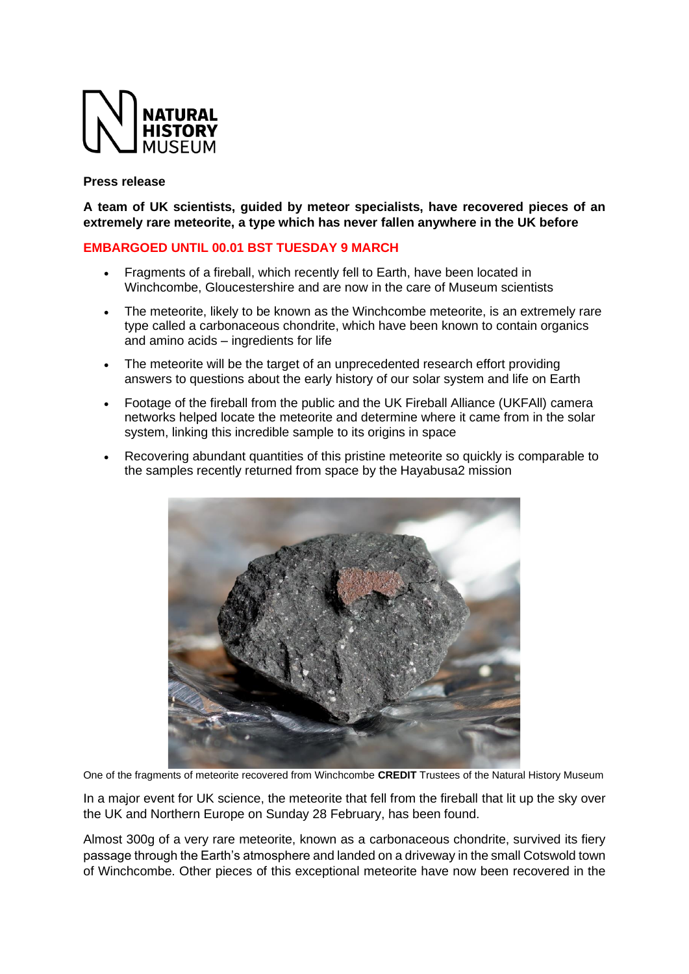

#### **Press release**

**A team of UK scientists, guided by meteor specialists, have recovered pieces of an extremely rare meteorite, a type which has never fallen anywhere in the UK before**

### **EMBARGOED UNTIL 00.01 BST TUESDAY 9 MARCH**

- Fragments of a fireball, which recently fell to Earth, have been located in Winchcombe, Gloucestershire and are now in the care of Museum scientists
- The meteorite, likely to be known as the Winchcombe meteorite, is an extremely rare type called a carbonaceous chondrite, which have been known to contain organics and amino acids – ingredients for life
- The meteorite will be the target of an unprecedented research effort providing answers to questions about the early history of our solar system and life on Earth
- Footage of the fireball from the public and the UK Fireball Alliance (UKFAll) camera networks helped locate the meteorite and determine where it came from in the solar system, linking this incredible sample to its origins in space
- Recovering abundant quantities of this pristine meteorite so quickly is comparable to the samples recently returned from space by the Hayabusa2 mission



One of the fragments of meteorite recovered from Winchcombe **CREDIT** Trustees of the Natural History Museum

In a major event for UK science, the meteorite that fell from the fireball that lit up the sky over the UK and Northern Europe on Sunday 28 February, has been found.

Almost 300g of a very rare meteorite, known as a carbonaceous chondrite, survived its fiery passage through the Earth's atmosphere and landed on a driveway in the small Cotswold town of Winchcombe. Other pieces of this exceptional meteorite have now been recovered in the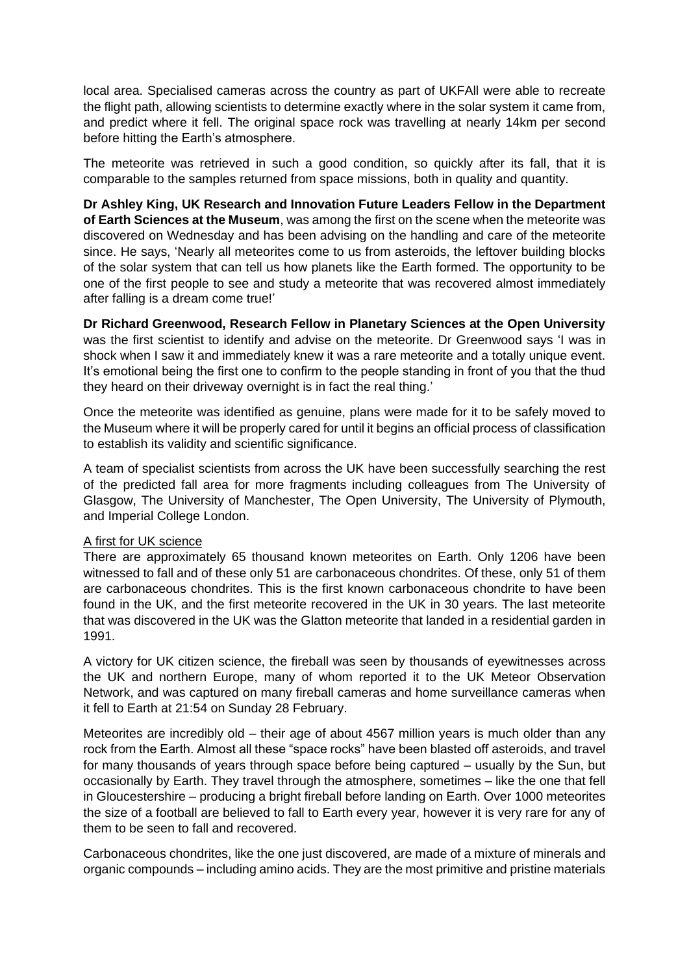local area. Specialised cameras across the country as part of UKFAll were able to recreate the flight path, allowing scientists to determine exactly where in the solar system it came from, and predict where it fell. The original space rock was travelling at nearly 14km per second before hitting the Earth's atmosphere.

The meteorite was retrieved in such a good condition, so quickly after its fall, that it is comparable to the samples returned from space missions, both in quality and quantity.

**Dr Ashley King, UK Research and Innovation Future Leaders Fellow in the Department of Earth Sciences at the Museum**, was among the first on the scene when the meteorite was discovered on Wednesday and has been advising on the handling and care of the meteorite since. He says, 'Nearly all meteorites come to us from asteroids, the leftover building blocks of the solar system that can tell us how planets like the Earth formed. The opportunity to be one of the first people to see and study a meteorite that was recovered almost immediately after falling is a dream come true!'

**Dr Richard Greenwood, Research Fellow in Planetary Sciences at the Open University** was the first scientist to identify and advise on the meteorite. Dr Greenwood says 'I was in shock when I saw it and immediately knew it was a rare meteorite and a totally unique event. It's emotional being the first one to confirm to the people standing in front of you that the thud they heard on their driveway overnight is in fact the real thing.'

Once the meteorite was identified as genuine, plans were made for it to be safely moved to the Museum where it will be properly cared for until it begins an official process of classification to establish its validity and scientific significance.

A team of specialist scientists from across the UK have been successfully searching the rest of the predicted fall area for more fragments including colleagues from The University of Glasgow, The University of Manchester, The Open University, The University of Plymouth, and Imperial College London.

### A first for UK science

There are approximately 65 thousand known meteorites on Earth. Only 1206 have been witnessed to fall and of these only 51 are carbonaceous chondrites. Of these, only 51 of them are carbonaceous chondrites. This is the first known carbonaceous chondrite to have been found in the UK, and the first meteorite recovered in the UK in 30 years. The last meteorite that was discovered in the UK was the Glatton meteorite that landed in a residential garden in 1991.

A victory for UK citizen science, the fireball was seen by thousands of eyewitnesses across the UK and northern Europe, many of whom reported it to the UK Meteor Observation Network, and was captured on many fireball cameras and home surveillance cameras when it fell to Earth at 21:54 on Sunday 28 February.

Meteorites are incredibly old – their age of about 4567 million years is much older than any rock from the Earth. Almost all these "space rocks" have been blasted off asteroids, and travel for many thousands of years through space before being captured – usually by the Sun, but occasionally by Earth. They travel through the atmosphere, sometimes – like the one that fell in Gloucestershire – producing a bright fireball before landing on Earth. Over 1000 meteorites the size of a football are believed to fall to Earth every year, however it is very rare for any of them to be seen to fall and recovered.

Carbonaceous chondrites, like the one just discovered, are made of a mixture of minerals and organic compounds – including amino acids. They are the most primitive and pristine materials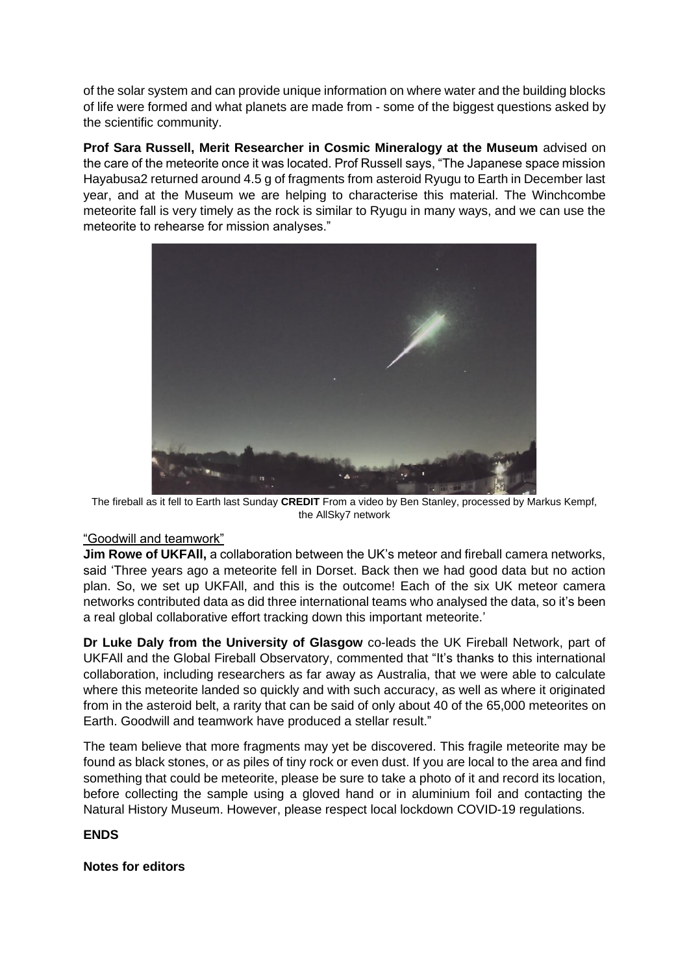of the solar system and can provide unique information on where water and the building blocks of life were formed and what planets are made from - some of the biggest questions asked by the scientific community.

**Prof Sara Russell, Merit Researcher in Cosmic Mineralogy at the Museum** advised on the care of the meteorite once it was located. Prof Russell says, "The Japanese space mission Hayabusa2 returned around 4.5 g of fragments from asteroid Ryugu to Earth in December last year, and at the Museum we are helping to characterise this material. The Winchcombe meteorite fall is very timely as the rock is similar to Ryugu in many ways, and we can use the meteorite to rehearse for mission analyses."



The fireball as it fell to Earth last Sunday **CREDIT** From a video by Ben Stanley, processed by Markus Kempf, the AllSky7 network

# "Goodwill and teamwork"

**Jim Rowe of UKFAll,** a collaboration between the UK's meteor and fireball camera networks, said 'Three years ago a meteorite fell in Dorset. Back then we had good data but no action plan. So, we set up UKFAll, and this is the outcome! Each of the six UK meteor camera networks contributed data as did three international teams who analysed the data, so it's been a real global collaborative effort tracking down this important meteorite.'

**Dr Luke Daly from the University of Glasgow** co-leads the UK Fireball Network, part of UKFAll and the Global Fireball Observatory, commented that "It's thanks to this international collaboration, including researchers as far away as Australia, that we were able to calculate where this meteorite landed so quickly and with such accuracy, as well as where it originated from in the asteroid belt, a rarity that can be said of only about 40 of the 65,000 meteorites on Earth. Goodwill and teamwork have produced a stellar result."

The team believe that more fragments may yet be discovered. This fragile meteorite may be found as black stones, or as piles of tiny rock or even dust. If you are local to the area and find something that could be meteorite, please be sure to take a photo of it and record its location, before collecting the sample using a gloved hand or in aluminium foil and contacting the Natural History Museum. However, please respect local lockdown COVID-19 regulations.

# **ENDS**

# **Notes for editors**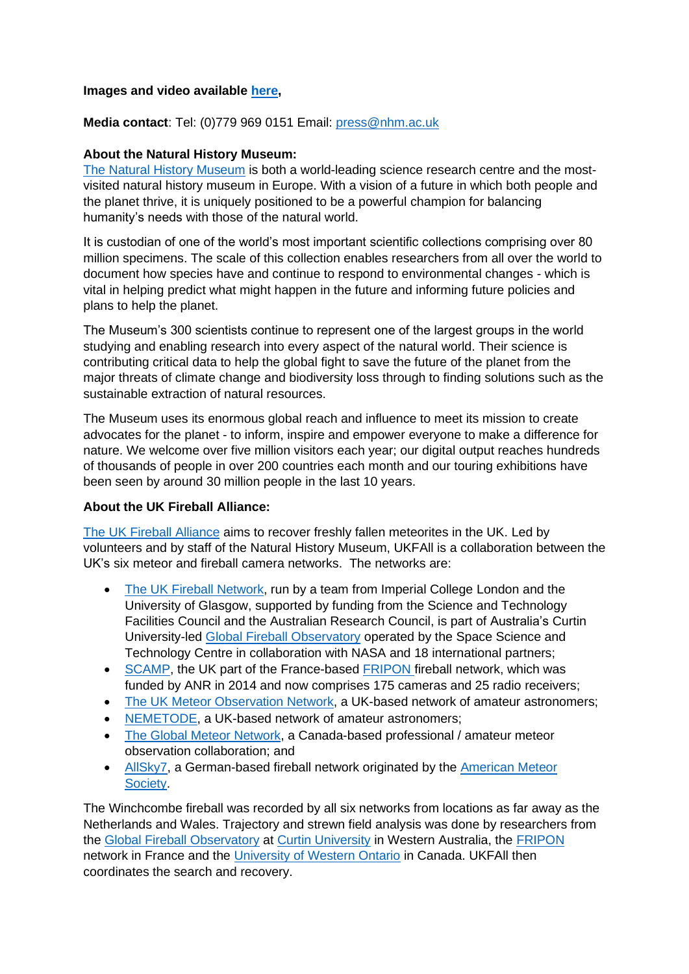#### **Images and video available [here,](https://naturalhistorymuseum.sharepoint.com/:f:/s/NHMPRTeam/EpOsxRiFdjZLmS9cDwUAp2kBJc6Dafm5JUJt-3YIWi3WLQ?e=itMffg)**

### **Media contact**: Tel: (0)779 969 0151 Email: [press@nhm.ac.uk](mailto:press@nhm.ac.uk)

#### **About the Natural History Museum:**

[The Natural History Museum](https://www.nhm.ac.uk/) is both a world-leading science research centre and the mostvisited natural history museum in Europe. With a vision of a future in which both people and the planet thrive, it is uniquely positioned to be a powerful champion for balancing humanity's needs with those of the natural world.

It is custodian of one of the world's most important scientific collections comprising over 80 million specimens. The scale of this collection enables researchers from all over the world to document how species have and continue to respond to environmental changes - which is vital in helping predict what might happen in the future and informing future policies and plans to help the planet.

The Museum's 300 scientists continue to represent one of the largest groups in the world studying and enabling research into every aspect of the natural world. Their science is contributing critical data to help the global fight to save the future of the planet from the major threats of climate change and biodiversity loss through to finding solutions such as the sustainable extraction of natural resources.

The Museum uses its enormous global reach and influence to meet its mission to create advocates for the planet - to inform, inspire and empower everyone to make a difference for nature. We welcome over five million visitors each year; our digital output reaches hundreds of thousands of people in over 200 countries each month and our touring exhibitions have been seen by around 30 million people in the last 10 years.

### **About the UK Fireball Alliance:**

[The UK Fireball Alliance](http://www.ukfall.org.uk/) aims to recover freshly fallen meteorites in the UK. Led by volunteers and by staff of the Natural History Museum, UKFAll is a collaboration between the UK's six meteor and fireball camera networks. The networks are:

- [The UK Fireball Network,](https://twitter.com/fireballsuk?lang=en) run by a team from Imperial College London and the University of Glasgow, supported by funding from the Science and Technology Facilities Council and the Australian Research Council, is part of Australia's Curtin University-led [Global Fireball](https://gfo.rocks/) Observatory operated by the Space Science and Technology Centre in collaboration with NASA and 18 international partners;
- [SCAMP,](http://www.scamp.org.uk/) the UK part of the France-based [FRIPON f](http://www.fripon.org/)ireball network, which was funded by ANR in 2014 and now comprises 175 cameras and 25 radio receivers;
- [The UK Meteor Observation Network,](https://ukmeteornetwork.co.uk/) a UK-based network of amateur astronomers;
- [NEMETODE,](http://nemetode.org/index.html) a UK-based network of amateur astronomers;
- [The Global Meteor Network,](https://globalmeteornetwork.org/) a Canada-based professional / amateur meteor observation collaboration; and
- [AllSky7,](https://allsky7.net/) a German-based fireball network originated by the [American Meteor](https://www.amsmeteors.org/)  [Society.](https://www.amsmeteors.org/)

The Winchcombe fireball was recorded by all six networks from locations as far away as the Netherlands and Wales. Trajectory and strewn field analysis was done by researchers from the [Global Fireball Observatory](https://gfo.rocks/) at [Curtin University](https://www.curtin.edu.au/) in Western Australia, the [FRIPON](http://www.fripon.org/) network in France and the [University of Western Ontario](https://www.uwo.ca/) in Canada. UKFAll then coordinates the search and recovery.